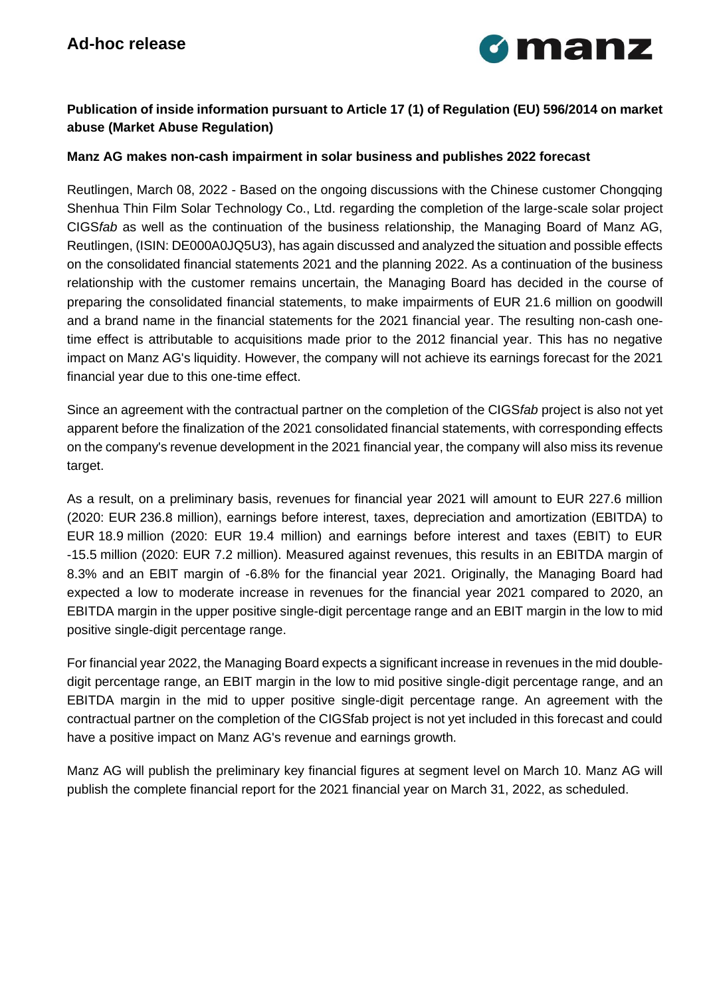

## **Publication of inside information pursuant to Article 17 (1) of Regulation (EU) 596/2014 on market abuse (Market Abuse Regulation)**

## **Manz AG makes non-cash impairment in solar business and publishes 2022 forecast**

Reutlingen, March 08, 2022 - Based on the ongoing discussions with the Chinese customer Chongqing Shenhua Thin Film Solar Technology Co., Ltd. regarding the completion of the large-scale solar project CIGS*fab* as well as the continuation of the business relationship, the Managing Board of Manz AG, Reutlingen, (ISIN: DE000A0JQ5U3), has again discussed and analyzed the situation and possible effects on the consolidated financial statements 2021 and the planning 2022. As a continuation of the business relationship with the customer remains uncertain, the Managing Board has decided in the course of preparing the consolidated financial statements, to make impairments of EUR 21.6 million on goodwill and a brand name in the financial statements for the 2021 financial year. The resulting non-cash onetime effect is attributable to acquisitions made prior to the 2012 financial year. This has no negative impact on Manz AG's liquidity. However, the company will not achieve its earnings forecast for the 2021 financial year due to this one-time effect.

Since an agreement with the contractual partner on the completion of the CIGS*fab* project is also not yet apparent before the finalization of the 2021 consolidated financial statements, with corresponding effects on the company's revenue development in the 2021 financial year, the company will also miss its revenue target.

As a result, on a preliminary basis, revenues for financial year 2021 will amount to EUR 227.6 million (2020: EUR 236.8 million), earnings before interest, taxes, depreciation and amortization (EBITDA) to EUR 18.9 million (2020: EUR 19.4 million) and earnings before interest and taxes (EBIT) to EUR -15.5 million (2020: EUR 7.2 million). Measured against revenues, this results in an EBITDA margin of 8.3% and an EBIT margin of -6.8% for the financial year 2021. Originally, the Managing Board had expected a low to moderate increase in revenues for the financial year 2021 compared to 2020, an EBITDA margin in the upper positive single-digit percentage range and an EBIT margin in the low to mid positive single-digit percentage range.

For financial year 2022, the Managing Board expects a significant increase in revenues in the mid doubledigit percentage range, an EBIT margin in the low to mid positive single-digit percentage range, and an EBITDA margin in the mid to upper positive single-digit percentage range. An agreement with the contractual partner on the completion of the CIGSfab project is not yet included in this forecast and could have a positive impact on Manz AG's revenue and earnings growth.

Manz AG will publish the preliminary key financial figures at segment level on March 10. Manz AG will publish the complete financial report for the 2021 financial year on March 31, 2022, as scheduled.